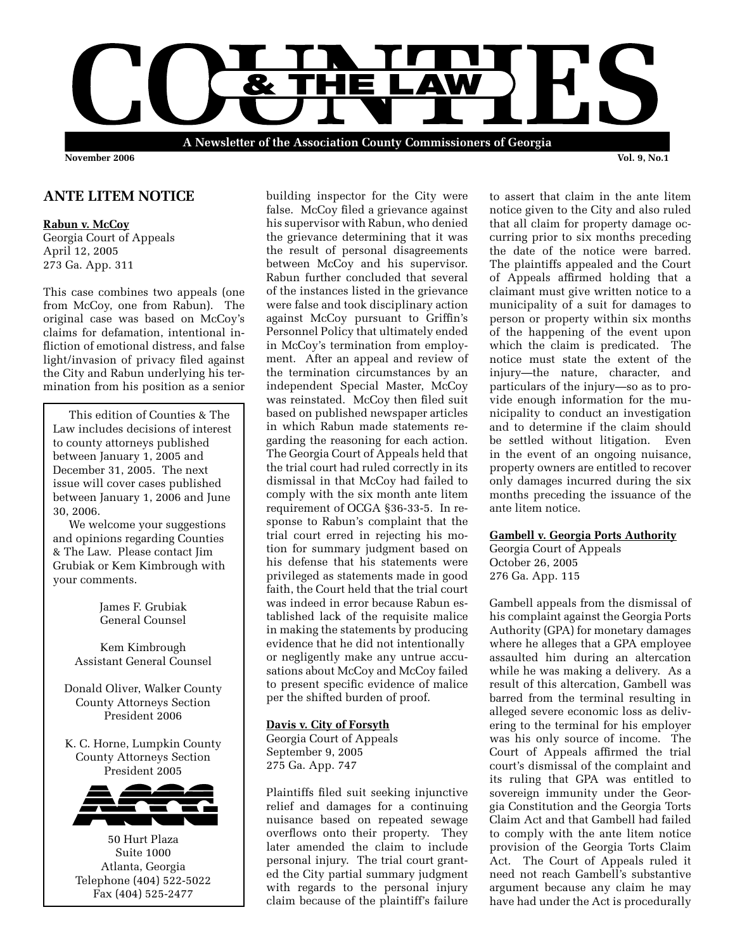

## **ANTE LITEM NOTICE**

#### **Rabun v. McCoy**

Georgia Court of Appeals April 12, 2005 273 Ga. App. 311

This case combines two appeals (one from McCoy, one from Rabun). The original case was based on McCoy's claims for defamation, intentional infliction of emotional distress, and false light/invasion of privacy filed against the City and Rabun underlying his termination from his position as a senior

 This edition of Counties & The Law includes decisions of interest to county attorneys published between January 1, 2005 and December 31, 2005. The next issue will cover cases published between January 1, 2006 and June 30, 2006.

 We welcome your suggestions and opinions regarding Counties & The Law. Please contact Jim Grubiak or Kem Kimbrough with your comments.

> James F. Grubiak General Counsel

Kem Kimbrough Assistant General Counsel

Donald Oliver, Walker County County Attorneys Section President 2006

K. C. Horne, Lumpkin County County Attorneys Section President 2005



50 Hurt Plaza Suite 1000 Atlanta, Georgia Telephone (404) 522-5022 Fax (404) 525-2477

building inspector for the City were false. McCoy filed a grievance against his supervisor with Rabun, who denied the grievance determining that it was the result of personal disagreements between McCoy and his supervisor. Rabun further concluded that several of the instances listed in the grievance were false and took disciplinary action against McCoy pursuant to Griffin's Personnel Policy that ultimately ended in McCoy's termination from employment. After an appeal and review of the termination circumstances by an independent Special Master, McCoy was reinstated. McCoy then filed suit based on published newspaper articles in which Rabun made statements regarding the reasoning for each action. The Georgia Court of Appeals held that the trial court had ruled correctly in its dismissal in that McCoy had failed to comply with the six month ante litem requirement of OCGA §36-33-5. In response to Rabun's complaint that the trial court erred in rejecting his motion for summary judgment based on his defense that his statements were privileged as statements made in good faith, the Court held that the trial court was indeed in error because Rabun established lack of the requisite malice in making the statements by producing evidence that he did not intentionally or negligently make any untrue accusations about McCoy and McCoy failed to present specific evidence of malice per the shifted burden of proof.

## **Davis v. City of Forsyth**

Georgia Court of Appeals September 9, 2005 275 Ga. App. 747

Plaintiffs filed suit seeking injunctive relief and damages for a continuing nuisance based on repeated sewage overflows onto their property. They later amended the claim to include personal injury. The trial court granted the City partial summary judgment with regards to the personal injury claim because of the plaintiff's failure

to assert that claim in the ante litem notice given to the City and also ruled that all claim for property damage occurring prior to six months preceding the date of the notice were barred. The plaintiffs appealed and the Court of Appeals affirmed holding that a claimant must give written notice to a municipality of a suit for damages to person or property within six months of the happening of the event upon which the claim is predicated. The notice must state the extent of the injury—the nature, character, and particulars of the injury—so as to provide enough information for the municipality to conduct an investigation and to determine if the claim should be settled without litigation. Even in the event of an ongoing nuisance, property owners are entitled to recover only damages incurred during the six months preceding the issuance of the ante litem notice.

#### **Gambell v. Georgia Ports Authority**

Georgia Court of Appeals October 26, 2005 276 Ga. App. 115

Gambell appeals from the dismissal of his complaint against the Georgia Ports Authority (GPA) for monetary damages where he alleges that a GPA employee assaulted him during an altercation while he was making a delivery. As a result of this altercation, Gambell was barred from the terminal resulting in alleged severe economic loss as delivering to the terminal for his employer was his only source of income. The Court of Appeals affirmed the trial court's dismissal of the complaint and its ruling that GPA was entitled to sovereign immunity under the Georgia Constitution and the Georgia Torts Claim Act and that Gambell had failed to comply with the ante litem notice provision of the Georgia Torts Claim Act. The Court of Appeals ruled it need not reach Gambell's substantive argument because any claim he may have had under the Act is procedurally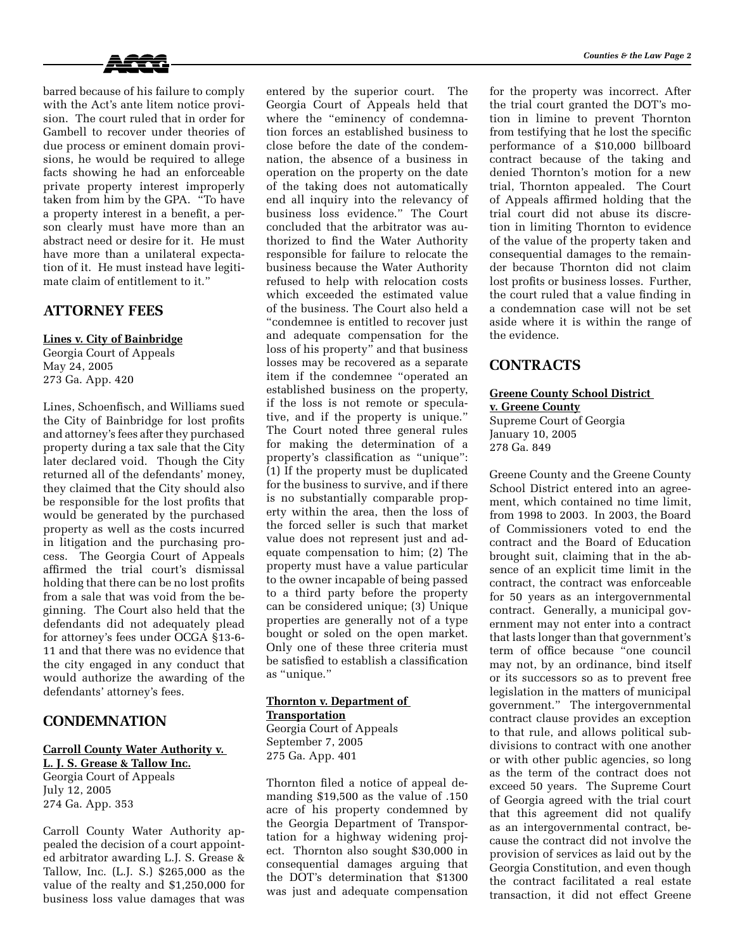

barred because of his failure to comply with the Act's ante litem notice provision. The court ruled that in order for Gambell to recover under theories of due process or eminent domain provisions, he would be required to allege facts showing he had an enforceable private property interest improperly taken from him by the GPA. "To have a property interest in a benefit, a person clearly must have more than an abstract need or desire for it. He must have more than a unilateral expectation of it. He must instead have legitimate claim of entitlement to it."

## **ATTORNEY FEES**

## **Lines v. City of Bainbridge**

Georgia Court of Appeals May 24, 2005 273 Ga. App. 420

Lines, Schoenfisch, and Williams sued the City of Bainbridge for lost profits and attorney's fees after they purchased property during a tax sale that the City later declared void. Though the City returned all of the defendants' money, they claimed that the City should also be responsible for the lost profits that would be generated by the purchased property as well as the costs incurred in litigation and the purchasing process. The Georgia Court of Appeals affirmed the trial court's dismissal holding that there can be no lost profits from a sale that was void from the beginning. The Court also held that the defendants did not adequately plead for attorney's fees under OCGA §13-6- 11 and that there was no evidence that the city engaged in any conduct that would authorize the awarding of the defendants' attorney's fees.

# **CONDEMNATION**

#### **Carroll County Water Authority v. L. J. S. Grease & Tallow Inc.**

Georgia Court of Appeals July 12, 2005 274 Ga. App. 353

Carroll County Water Authority appealed the decision of a court appointed arbitrator awarding L.J. S. Grease & Tallow, Inc. (L.J. S.) \$265,000 as the value of the realty and \$1,250,000 for business loss value damages that was

entered by the superior court. The Georgia Court of Appeals held that where the "eminency of condemnation forces an established business to close before the date of the condemnation, the absence of a business in operation on the property on the date of the taking does not automatically end all inquiry into the relevancy of business loss evidence." The Court concluded that the arbitrator was authorized to find the Water Authority responsible for failure to relocate the business because the Water Authority refused to help with relocation costs which exceeded the estimated value of the business. The Court also held a "condemnee is entitled to recover just and adequate compensation for the loss of his property" and that business losses may be recovered as a separate item if the condemnee "operated an established business on the property, if the loss is not remote or speculative, and if the property is unique." The Court noted three general rules for making the determination of a property's classification as "unique": (1) If the property must be duplicated for the business to survive, and if there is no substantially comparable property within the area, then the loss of the forced seller is such that market value does not represent just and adequate compensation to him; (2) The property must have a value particular to the owner incapable of being passed to a third party before the property can be considered unique; (3) Unique properties are generally not of a type bought or soled on the open market. Only one of these three criteria must be satisfied to establish a classification as "unique."

# **Thornton v. Department of**

**Transportation**

Georgia Court of Appeals September 7, 2005 275 Ga. App. 401

Thornton filed a notice of appeal demanding \$19,500 as the value of .150 acre of his property condemned by the Georgia Department of Transportation for a highway widening project. Thornton also sought \$30,000 in consequential damages arguing that the DOT's determination that \$1300 was just and adequate compensation for the property was incorrect. After the trial court granted the DOT's motion in limine to prevent Thornton from testifying that he lost the specific performance of a \$10,000 billboard contract because of the taking and denied Thornton's motion for a new trial, Thornton appealed. The Court of Appeals affirmed holding that the trial court did not abuse its discretion in limiting Thornton to evidence of the value of the property taken and consequential damages to the remainder because Thornton did not claim lost profits or business losses. Further, the court ruled that a value finding in a condemnation case will not be set aside where it is within the range of the evidence.

## **CONTRACTS**

# **Greene County School District v. Greene County**

Supreme Court of Georgia January 10, 2005 278 Ga. 849

Greene County and the Greene County School District entered into an agreement, which contained no time limit, from 1998 to 2003. In 2003, the Board of Commissioners voted to end the contract and the Board of Education brought suit, claiming that in the absence of an explicit time limit in the contract, the contract was enforceable for 50 years as an intergovernmental contract. Generally, a municipal government may not enter into a contract that lasts longer than that government's term of office because "one council may not, by an ordinance, bind itself or its successors so as to prevent free legislation in the matters of municipal government." The intergovernmental contract clause provides an exception to that rule, and allows political subdivisions to contract with one another or with other public agencies, so long as the term of the contract does not exceed 50 years. The Supreme Court of Georgia agreed with the trial court that this agreement did not qualify as an intergovernmental contract, because the contract did not involve the provision of services as laid out by the Georgia Constitution, and even though the contract facilitated a real estate transaction, it did not effect Greene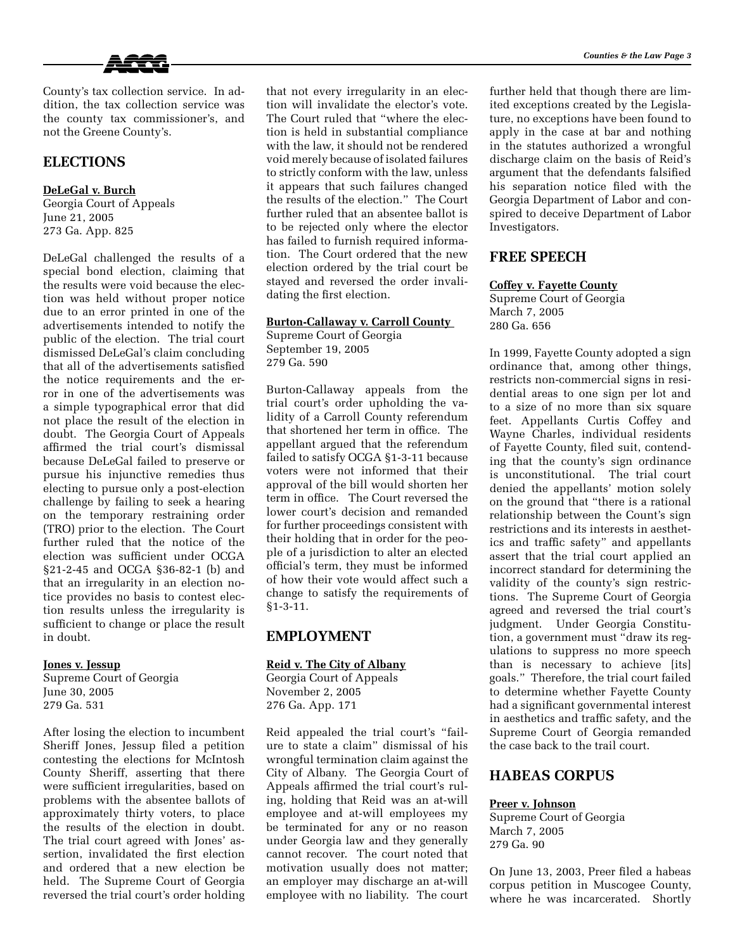

County's tax collection service. In addition, the tax collection service was the county tax commissioner's, and not the Greene County's.

# **ELECTIONS**

**DeLeGal v. Burch** Georgia Court of Appeals June 21, 2005 273 Ga. App. 825

DeLeGal challenged the results of a special bond election, claiming that the results were void because the election was held without proper notice due to an error printed in one of the advertisements intended to notify the public of the election. The trial court dismissed DeLeGal's claim concluding that all of the advertisements satisfied the notice requirements and the error in one of the advertisements was a simple typographical error that did not place the result of the election in doubt. The Georgia Court of Appeals affirmed the trial court's dismissal because DeLeGal failed to preserve or pursue his injunctive remedies thus electing to pursue only a post-election challenge by failing to seek a hearing on the temporary restraining order (TRO) prior to the election. The Court further ruled that the notice of the election was sufficient under OCGA §21-2-45 and OCGA §36-82-1 (b) and that an irregularity in an election notice provides no basis to contest election results unless the irregularity is sufficient to change or place the result in doubt.

#### **Jones v. Jessup**

Supreme Court of Georgia June 30, 2005 279 Ga. 531

After losing the election to incumbent Sheriff Jones, Jessup filed a petition contesting the elections for McIntosh County Sheriff, asserting that there were sufficient irregularities, based on problems with the absentee ballots of approximately thirty voters, to place the results of the election in doubt. The trial court agreed with Jones' assertion, invalidated the first election and ordered that a new election be held. The Supreme Court of Georgia reversed the trial court's order holding that not every irregularity in an election will invalidate the elector's vote. The Court ruled that "where the election is held in substantial compliance with the law, it should not be rendered void merely because of isolated failures to strictly conform with the law, unless it appears that such failures changed the results of the election." The Court further ruled that an absentee ballot is to be rejected only where the elector has failed to furnish required information. The Court ordered that the new election ordered by the trial court be stayed and reversed the order invalidating the first election.

## **Burton-Callaway v. Carroll County**

Supreme Court of Georgia September 19, 2005 279 Ga. 590

Burton-Callaway appeals from the trial court's order upholding the validity of a Carroll County referendum that shortened her term in office. The appellant argued that the referendum failed to satisfy OCGA §1-3-11 because voters were not informed that their approval of the bill would shorten her term in office. The Court reversed the lower court's decision and remanded for further proceedings consistent with their holding that in order for the people of a jurisdiction to alter an elected official's term, they must be informed of how their vote would affect such a change to satisfy the requirements of §1-3-11.

# **EMPLOYMENT**

### **Reid v. The City of Albany**

Georgia Court of Appeals November 2, 2005 276 Ga. App. 171

Reid appealed the trial court's "failure to state a claim" dismissal of his wrongful termination claim against the City of Albany. The Georgia Court of Appeals affirmed the trial court's ruling, holding that Reid was an at-will employee and at-will employees my be terminated for any or no reason under Georgia law and they generally cannot recover. The court noted that motivation usually does not matter; an employer may discharge an at-will employee with no liability. The court

further held that though there are limited exceptions created by the Legislature, no exceptions have been found to apply in the case at bar and nothing in the statutes authorized a wrongful discharge claim on the basis of Reid's argument that the defendants falsified his separation notice filed with the Georgia Department of Labor and conspired to deceive Department of Labor Investigators.

# **FREE SPEECH**

#### **Coffey v. Fayette County**

Supreme Court of Georgia March 7, 2005 280 Ga. 656

In 1999, Fayette County adopted a sign ordinance that, among other things, restricts non-commercial signs in residential areas to one sign per lot and to a size of no more than six square feet. Appellants Curtis Coffey and Wayne Charles, individual residents of Fayette County, filed suit, contending that the county's sign ordinance is unconstitutional. The trial court denied the appellants' motion solely on the ground that "there is a rational relationship between the Count's sign restrictions and its interests in aesthetics and traffic safety" and appellants assert that the trial court applied an incorrect standard for determining the validity of the county's sign restrictions. The Supreme Court of Georgia agreed and reversed the trial court's judgment. Under Georgia Constitution, a government must "draw its regulations to suppress no more speech than is necessary to achieve [its] goals." Therefore, the trial court failed to determine whether Fayette County had a significant governmental interest in aesthetics and traffic safety, and the Supreme Court of Georgia remanded the case back to the trail court.

# **HABEAS CORPUS**

#### **Preer v. Johnson**

Supreme Court of Georgia March 7, 2005 279 Ga. 90

On June 13, 2003, Preer filed a habeas corpus petition in Muscogee County, where he was incarcerated. Shortly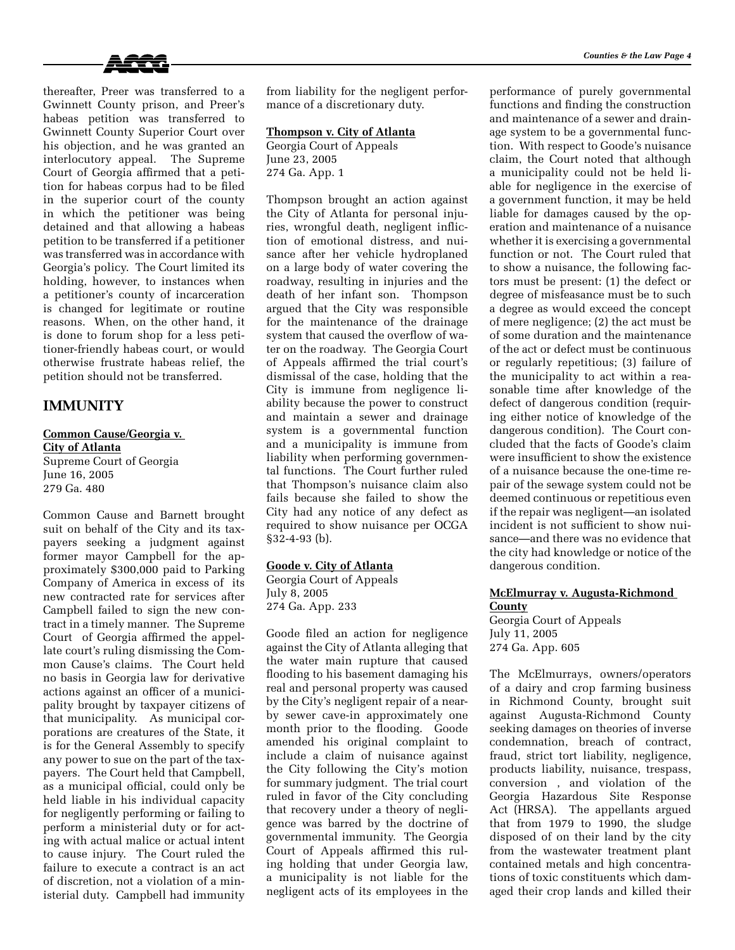



thereafter, Preer was transferred to a Gwinnett County prison, and Preer's habeas petition was transferred to Gwinnett County Superior Court over his objection, and he was granted an interlocutory appeal. The Supreme Court of Georgia affirmed that a petition for habeas corpus had to be filed in the superior court of the county in which the petitioner was being detained and that allowing a habeas petition to be transferred if a petitioner was transferred was in accordance with Georgia's policy. The Court limited its holding, however, to instances when a petitioner's county of incarceration is changed for legitimate or routine reasons. When, on the other hand, it is done to forum shop for a less petitioner-friendly habeas court, or would otherwise frustrate habeas relief, the petition should not be transferred.

# **IMMUNITY**

### **Common Cause/Georgia v. City of Atlanta** Supreme Court of Georgia

June 16, 2005 279 Ga. 480

Common Cause and Barnett brought suit on behalf of the City and its taxpayers seeking a judgment against former mayor Campbell for the approximately \$300,000 paid to Parking Company of America in excess of its new contracted rate for services after Campbell failed to sign the new contract in a timely manner. The Supreme Court of Georgia affirmed the appellate court's ruling dismissing the Common Cause's claims. The Court held no basis in Georgia law for derivative actions against an officer of a municipality brought by taxpayer citizens of that municipality. As municipal corporations are creatures of the State, it is for the General Assembly to specify any power to sue on the part of the taxpayers. The Court held that Campbell, as a municipal official, could only be held liable in his individual capacity for negligently performing or failing to perform a ministerial duty or for acting with actual malice or actual intent to cause injury. The Court ruled the failure to execute a contract is an act of discretion, not a violation of a ministerial duty. Campbell had immunity

from liability for the negligent performance of a discretionary duty.

### **Thompson v. City of Atlanta**

Georgia Court of Appeals June 23, 2005 274 Ga. App. 1

Thompson brought an action against the City of Atlanta for personal injuries, wrongful death, negligent infliction of emotional distress, and nuisance after her vehicle hydroplaned on a large body of water covering the roadway, resulting in injuries and the death of her infant son. Thompson argued that the City was responsible for the maintenance of the drainage system that caused the overflow of water on the roadway. The Georgia Court of Appeals affirmed the trial court's dismissal of the case, holding that the City is immune from negligence liability because the power to construct and maintain a sewer and drainage system is a governmental function and a municipality is immune from liability when performing governmental functions. The Court further ruled that Thompson's nuisance claim also fails because she failed to show the City had any notice of any defect as required to show nuisance per OCGA §32-4-93 (b).

### **Goode v. City of Atlanta**

Georgia Court of Appeals July 8, 2005 274 Ga. App. 233

Goode filed an action for negligence against the City of Atlanta alleging that the water main rupture that caused flooding to his basement damaging his real and personal property was caused by the City's negligent repair of a nearby sewer cave-in approximately one month prior to the flooding. Goode amended his original complaint to include a claim of nuisance against the City following the City's motion for summary judgment. The trial court ruled in favor of the City concluding that recovery under a theory of negligence was barred by the doctrine of governmental immunity. The Georgia Court of Appeals affirmed this ruling holding that under Georgia law, a municipality is not liable for the negligent acts of its employees in the performance of purely governmental functions and finding the construction and maintenance of a sewer and drainage system to be a governmental function. With respect to Goode's nuisance claim, the Court noted that although a municipality could not be held liable for negligence in the exercise of a government function, it may be held liable for damages caused by the operation and maintenance of a nuisance whether it is exercising a governmental function or not. The Court ruled that to show a nuisance, the following factors must be present: (1) the defect or degree of misfeasance must be to such a degree as would exceed the concept of mere negligence; (2) the act must be of some duration and the maintenance of the act or defect must be continuous or regularly repetitious; (3) failure of the municipality to act within a reasonable time after knowledge of the defect of dangerous condition (requiring either notice of knowledge of the dangerous condition). The Court concluded that the facts of Goode's claim were insufficient to show the existence of a nuisance because the one-time repair of the sewage system could not be deemed continuous or repetitious even if the repair was negligent—an isolated incident is not sufficient to show nuisance—and there was no evidence that the city had knowledge or notice of the dangerous condition.

**McElmurray v. Augusta-Richmond County** Georgia Court of Appeals July 11, 2005

274 Ga. App. 605

The McElmurrays, owners/operators of a dairy and crop farming business in Richmond County, brought suit against Augusta-Richmond County seeking damages on theories of inverse condemnation, breach of contract, fraud, strict tort liability, negligence, products liability, nuisance, trespass, conversion , and violation of the Georgia Hazardous Site Response Act (HRSA). The appellants argued that from 1979 to 1990, the sludge disposed of on their land by the city from the wastewater treatment plant contained metals and high concentrations of toxic constituents which damaged their crop lands and killed their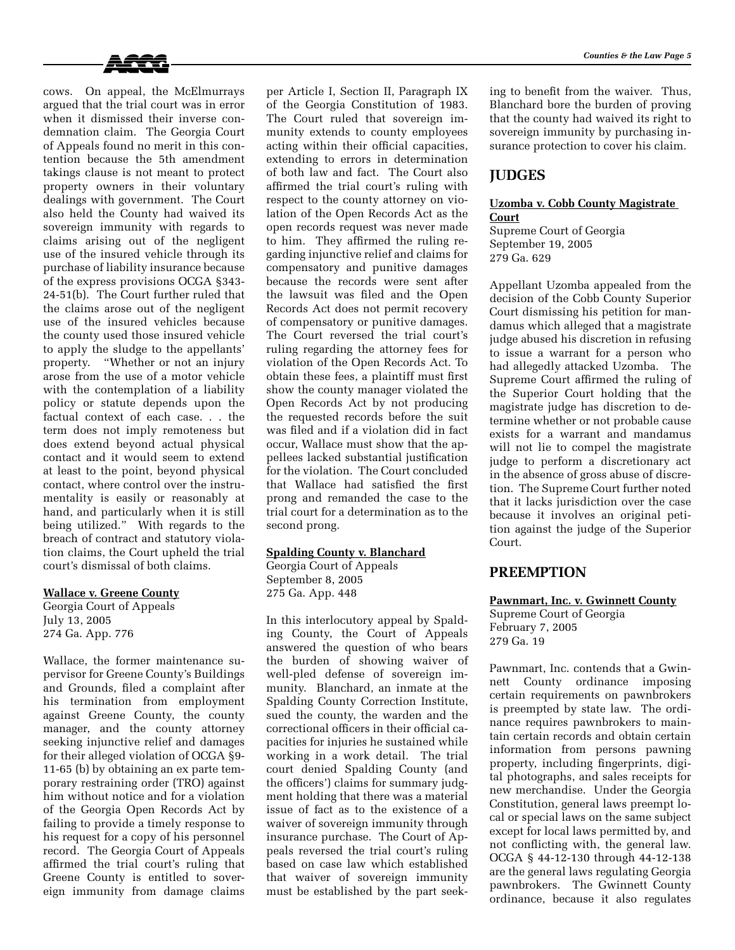

cows. On appeal, the McElmurrays argued that the trial court was in error when it dismissed their inverse condemnation claim. The Georgia Court of Appeals found no merit in this contention because the 5th amendment takings clause is not meant to protect property owners in their voluntary dealings with government. The Court also held the County had waived its sovereign immunity with regards to claims arising out of the negligent use of the insured vehicle through its purchase of liability insurance because of the express provisions OCGA §343- 24-51(b). The Court further ruled that the claims arose out of the negligent use of the insured vehicles because the county used those insured vehicle to apply the sludge to the appellants' property. "Whether or not an injury arose from the use of a motor vehicle with the contemplation of a liability policy or statute depends upon the factual context of each case. . . the term does not imply remoteness but does extend beyond actual physical contact and it would seem to extend at least to the point, beyond physical contact, where control over the instrumentality is easily or reasonably at hand, and particularly when it is still being utilized." With regards to the breach of contract and statutory violation claims, the Court upheld the trial court's dismissal of both claims.

#### **Wallace v. Greene County**

Georgia Court of Appeals July 13, 2005 274 Ga. App. 776

Wallace, the former maintenance supervisor for Greene County's Buildings and Grounds, filed a complaint after his termination from employment against Greene County, the county manager, and the county attorney seeking injunctive relief and damages for their alleged violation of OCGA §9- 11-65 (b) by obtaining an ex parte temporary restraining order (TRO) against him without notice and for a violation of the Georgia Open Records Act by failing to provide a timely response to his request for a copy of his personnel record. The Georgia Court of Appeals affirmed the trial court's ruling that Greene County is entitled to sovereign immunity from damage claims

per Article I, Section II, Paragraph IX of the Georgia Constitution of 1983. The Court ruled that sovereign immunity extends to county employees acting within their official capacities, extending to errors in determination of both law and fact. The Court also affirmed the trial court's ruling with respect to the county attorney on violation of the Open Records Act as the open records request was never made to him. They affirmed the ruling regarding injunctive relief and claims for compensatory and punitive damages because the records were sent after the lawsuit was filed and the Open Records Act does not permit recovery of compensatory or punitive damages. The Court reversed the trial court's ruling regarding the attorney fees for violation of the Open Records Act. To obtain these fees, a plaintiff must first show the county manager violated the Open Records Act by not producing the requested records before the suit was filed and if a violation did in fact occur, Wallace must show that the appellees lacked substantial justification for the violation. The Court concluded that Wallace had satisfied the first prong and remanded the case to the trial court for a determination as to the second prong.

#### **Spalding County v. Blanchard**

Georgia Court of Appeals September 8, 2005

275 Ga. App. 448

In this interlocutory appeal by Spalding County, the Court of Appeals answered the question of who bears the burden of showing waiver of well-pled defense of sovereign immunity. Blanchard, an inmate at the Spalding County Correction Institute, sued the county, the warden and the correctional officers in their official capacities for injuries he sustained while working in a work detail. The trial court denied Spalding County (and the officers') claims for summary judgment holding that there was a material issue of fact as to the existence of a waiver of sovereign immunity through insurance purchase. The Court of Appeals reversed the trial court's ruling based on case law which established that waiver of sovereign immunity must be established by the part seeking to benefit from the waiver. Thus, Blanchard bore the burden of proving that the county had waived its right to sovereign immunity by purchasing insurance protection to cover his claim.

## **JUDGES**

## **Uzomba v. Cobb County Magistrate Court**

Supreme Court of Georgia September 19, 2005 279 Ga. 629

Appellant Uzomba appealed from the decision of the Cobb County Superior Court dismissing his petition for mandamus which alleged that a magistrate judge abused his discretion in refusing to issue a warrant for a person who had allegedly attacked Uzomba. The Supreme Court affirmed the ruling of the Superior Court holding that the magistrate judge has discretion to determine whether or not probable cause exists for a warrant and mandamus will not lie to compel the magistrate judge to perform a discretionary act in the absence of gross abuse of discretion. The Supreme Court further noted that it lacks jurisdiction over the case because it involves an original petition against the judge of the Superior Court.

## **PREEMPTION**

#### **Pawnmart, Inc. v. Gwinnett County**

Supreme Court of Georgia February 7, 2005 279 Ga. 19

Pawnmart, Inc. contends that a Gwinnett County ordinance imposing certain requirements on pawnbrokers is preempted by state law. The ordinance requires pawnbrokers to maintain certain records and obtain certain information from persons pawning property, including fingerprints, digital photographs, and sales receipts for new merchandise. Under the Georgia Constitution, general laws preempt local or special laws on the same subject except for local laws permitted by, and not conflicting with, the general law. OCGA § 44-12-130 through 44-12-138 are the general laws regulating Georgia pawnbrokers. The Gwinnett County ordinance, because it also regulates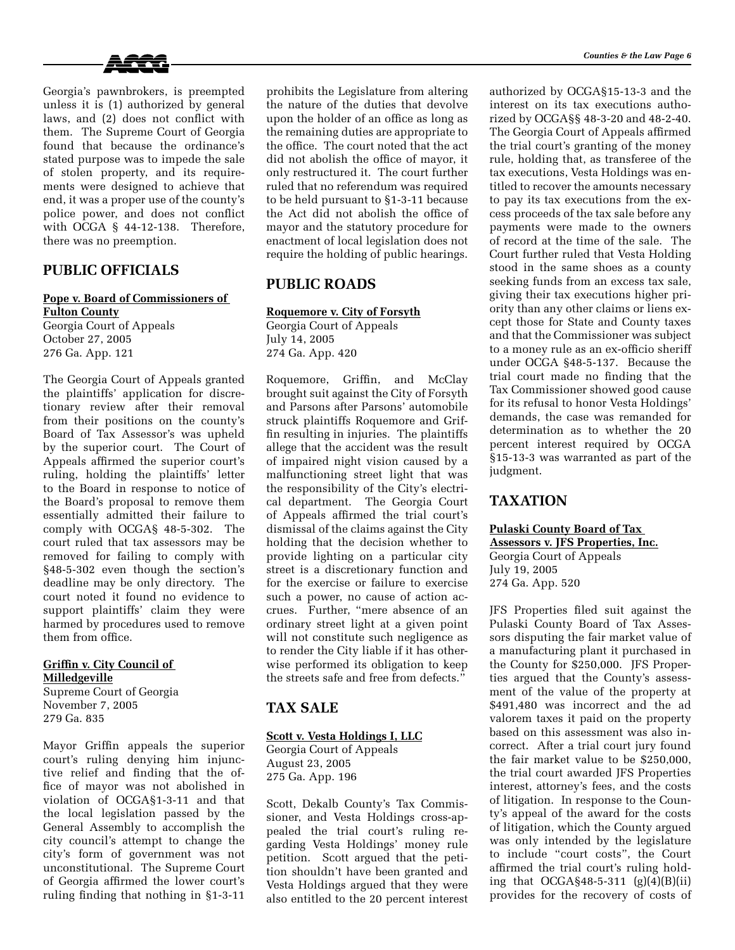

Georgia's pawnbrokers, is preempted unless it is (1) authorized by general laws, and (2) does not conflict with them. The Supreme Court of Georgia found that because the ordinance's stated purpose was to impede the sale of stolen property, and its requirements were designed to achieve that end, it was a proper use of the county's police power, and does not conflict with OCGA § 44-12-138. Therefore, there was no preemption.

# **PUBLIC OFFICIALS**

#### **Pope v. Board of Commissioners of Fulton County**

Georgia Court of Appeals October 27, 2005 276 Ga. App. 121

The Georgia Court of Appeals granted the plaintiffs' application for discretionary review after their removal from their positions on the county's Board of Tax Assessor's was upheld by the superior court. The Court of Appeals affirmed the superior court's ruling, holding the plaintiffs' letter to the Board in response to notice of the Board's proposal to remove them essentially admitted their failure to comply with OCGA§ 48-5-302. The court ruled that tax assessors may be removed for failing to comply with §48-5-302 even though the section's deadline may be only directory. The court noted it found no evidence to support plaintiffs' claim they were harmed by procedures used to remove them from office.

#### **Griffin v. City Council of Milledgeville**

Supreme Court of Georgia November 7, 2005 279 Ga. 835

Mayor Griffin appeals the superior court's ruling denying him injunctive relief and finding that the office of mayor was not abolished in violation of OCGA§1-3-11 and that the local legislation passed by the General Assembly to accomplish the city council's attempt to change the city's form of government was not unconstitutional. The Supreme Court of Georgia affirmed the lower court's ruling finding that nothing in §1-3-11

prohibits the Legislature from altering the nature of the duties that devolve upon the holder of an office as long as the remaining duties are appropriate to the office. The court noted that the act did not abolish the office of mayor, it only restructured it. The court further ruled that no referendum was required to be held pursuant to §1-3-11 because the Act did not abolish the office of mayor and the statutory procedure for enactment of local legislation does not require the holding of public hearings.

# **PUBLIC ROADS**

#### **Roquemore v. City of Forsyth**

Georgia Court of Appeals July 14, 2005 274 Ga. App. 420

Roquemore, Griffin, and McClay brought suit against the City of Forsyth and Parsons after Parsons' automobile struck plaintiffs Roquemore and Griffin resulting in injuries. The plaintiffs allege that the accident was the result of impaired night vision caused by a malfunctioning street light that was the responsibility of the City's electrical department. The Georgia Court of Appeals affirmed the trial court's dismissal of the claims against the City holding that the decision whether to provide lighting on a particular city street is a discretionary function and for the exercise or failure to exercise such a power, no cause of action accrues. Further, "mere absence of an ordinary street light at a given point will not constitute such negligence as to render the City liable if it has otherwise performed its obligation to keep the streets safe and free from defects."

## **TAX SALE**

### **Scott v. Vesta Holdings I, LLC**

Georgia Court of Appeals August 23, 2005 275 Ga. App. 196

Scott, Dekalb County's Tax Commissioner, and Vesta Holdings cross-appealed the trial court's ruling regarding Vesta Holdings' money rule petition. Scott argued that the petition shouldn't have been granted and Vesta Holdings argued that they were also entitled to the 20 percent interest authorized by OCGA§15-13-3 and the interest on its tax executions authorized by OCGA§§ 48-3-20 and 48-2-40. The Georgia Court of Appeals affirmed the trial court's granting of the money rule, holding that, as transferee of the tax executions, Vesta Holdings was entitled to recover the amounts necessary to pay its tax executions from the excess proceeds of the tax sale before any payments were made to the owners of record at the time of the sale. The Court further ruled that Vesta Holding stood in the same shoes as a county seeking funds from an excess tax sale, giving their tax executions higher priority than any other claims or liens except those for State and County taxes and that the Commissioner was subject to a money rule as an ex-officio sheriff under OCGA §48-5-137. Because the trial court made no finding that the Tax Commissioner showed good cause for its refusal to honor Vesta Holdings'

demands, the case was remanded for determination as to whether the 20 percent interest required by OCGA §15-13-3 was warranted as part of the judgment.

## **TAXATION**

### **Pulaski County Board of Tax**

**Assessors v. JFS Properties, Inc.** Georgia Court of Appeals July 19, 2005 274 Ga. App. 520

JFS Properties filed suit against the Pulaski County Board of Tax Assessors disputing the fair market value of a manufacturing plant it purchased in the County for \$250,000. JFS Properties argued that the County's assessment of the value of the property at \$491,480 was incorrect and the ad valorem taxes it paid on the property based on this assessment was also incorrect. After a trial court jury found the fair market value to be \$250,000, the trial court awarded JFS Properties interest, attorney's fees, and the costs of litigation. In response to the County's appeal of the award for the costs of litigation, which the County argued was only intended by the legislature to include "court costs", the Court affirmed the trial court's ruling holding that OCGA§48-5-311 (g)(4)(B)(ii) provides for the recovery of costs of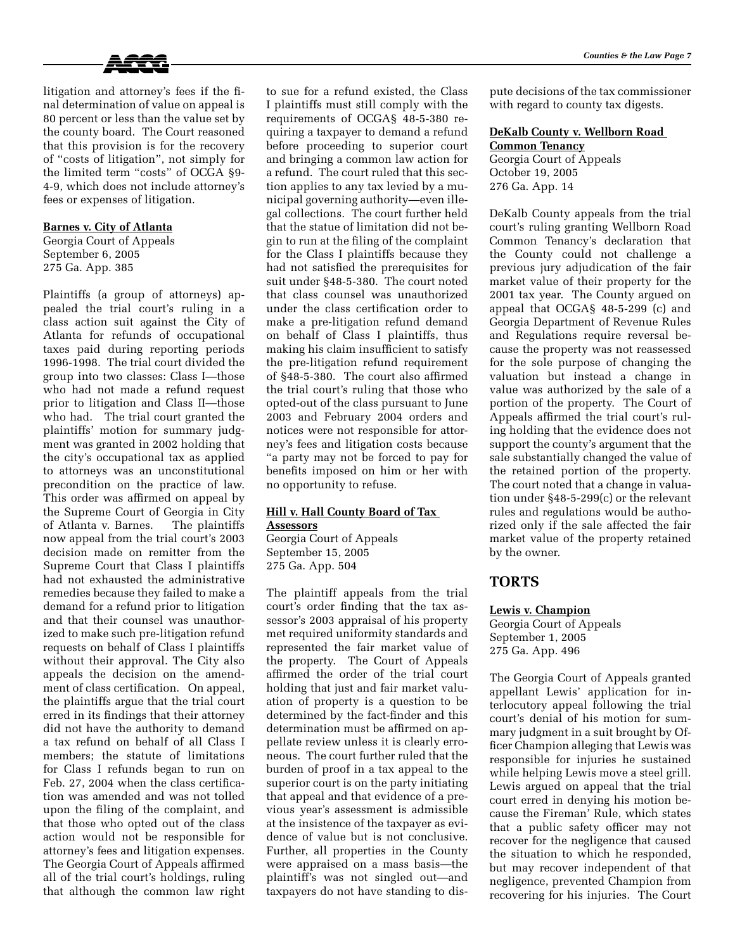

litigation and attorney's fees if the final determination of value on appeal is 80 percent or less than the value set by the county board. The Court reasoned that this provision is for the recovery of "costs of litigation", not simply for the limited term "costs" of OCGA §9- 4-9, which does not include attorney's fees or expenses of litigation.

### **Barnes v. City of Atlanta**

Georgia Court of Appeals September 6, 2005 275 Ga. App. 385

Plaintiffs (a group of attorneys) appealed the trial court's ruling in a class action suit against the City of Atlanta for refunds of occupational taxes paid during reporting periods 1996-1998. The trial court divided the group into two classes: Class I—those who had not made a refund request prior to litigation and Class II—those who had. The trial court granted the plaintiffs' motion for summary judgment was granted in 2002 holding that the city's occupational tax as applied to attorneys was an unconstitutional precondition on the practice of law. This order was affirmed on appeal by the Supreme Court of Georgia in City of Atlanta v. Barnes. The plaintiffs now appeal from the trial court's 2003 decision made on remitter from the Supreme Court that Class I plaintiffs had not exhausted the administrative remedies because they failed to make a demand for a refund prior to litigation and that their counsel was unauthorized to make such pre-litigation refund requests on behalf of Class I plaintiffs without their approval. The City also appeals the decision on the amendment of class certification. On appeal, the plaintiffs argue that the trial court erred in its findings that their attorney did not have the authority to demand a tax refund on behalf of all Class I members; the statute of limitations for Class I refunds began to run on Feb. 27, 2004 when the class certification was amended and was not tolled upon the filing of the complaint, and that those who opted out of the class action would not be responsible for attorney's fees and litigation expenses. The Georgia Court of Appeals affirmed all of the trial court's holdings, ruling that although the common law right

to sue for a refund existed, the Class I plaintiffs must still comply with the requirements of OCGA§ 48-5-380 requiring a taxpayer to demand a refund before proceeding to superior court and bringing a common law action for a refund. The court ruled that this section applies to any tax levied by a municipal governing authority—even illegal collections. The court further held that the statue of limitation did not begin to run at the filing of the complaint for the Class I plaintiffs because they had not satisfied the prerequisites for suit under §48-5-380. The court noted that class counsel was unauthorized under the class certification order to make a pre-litigation refund demand on behalf of Class I plaintiffs, thus making his claim insufficient to satisfy the pre-litigation refund requirement of §48-5-380. The court also affirmed the trial court's ruling that those who opted-out of the class pursuant to June 2003 and February 2004 orders and notices were not responsible for attorney's fees and litigation costs because "a party may not be forced to pay for benefits imposed on him or her with no opportunity to refuse.

# **Hill v. Hall County Board of Tax Assessors**

Georgia Court of Appeals September 15, 2005 275 Ga. App. 504

The plaintiff appeals from the trial court's order finding that the tax assessor's 2003 appraisal of his property met required uniformity standards and represented the fair market value of the property. The Court of Appeals affirmed the order of the trial court holding that just and fair market valuation of property is a question to be determined by the fact-finder and this determination must be affirmed on appellate review unless it is clearly erroneous. The court further ruled that the burden of proof in a tax appeal to the superior court is on the party initiating that appeal and that evidence of a previous year's assessment is admissible at the insistence of the taxpayer as evidence of value but is not conclusive. Further, all properties in the County were appraised on a mass basis—the plaintiff's was not singled out—and taxpayers do not have standing to dispute decisions of the tax commissioner with regard to county tax digests.

## **DeKalb County v. Wellborn Road Common Tenancy** Georgia Court of Appeals

October 19, 2005 276 Ga. App. 14

DeKalb County appeals from the trial court's ruling granting Wellborn Road Common Tenancy's declaration that the County could not challenge a previous jury adjudication of the fair market value of their property for the 2001 tax year. The County argued on appeal that OCGA§ 48-5-299 (c) and Georgia Department of Revenue Rules and Regulations require reversal because the property was not reassessed for the sole purpose of changing the valuation but instead a change in value was authorized by the sale of a portion of the property. The Court of Appeals affirmed the trial court's ruling holding that the evidence does not support the county's argument that the sale substantially changed the value of the retained portion of the property. The court noted that a change in valuation under §48-5-299(c) or the relevant rules and regulations would be authorized only if the sale affected the fair market value of the property retained by the owner.

# **TORTS**

# **Lewis v. Champion**

Georgia Court of Appeals September 1, 2005 275 Ga. App. 496

The Georgia Court of Appeals granted appellant Lewis' application for interlocutory appeal following the trial court's denial of his motion for summary judgment in a suit brought by Officer Champion alleging that Lewis was responsible for injuries he sustained while helping Lewis move a steel grill. Lewis argued on appeal that the trial court erred in denying his motion because the Fireman' Rule, which states that a public safety officer may not recover for the negligence that caused the situation to which he responded, but may recover independent of that negligence, prevented Champion from recovering for his injuries. The Court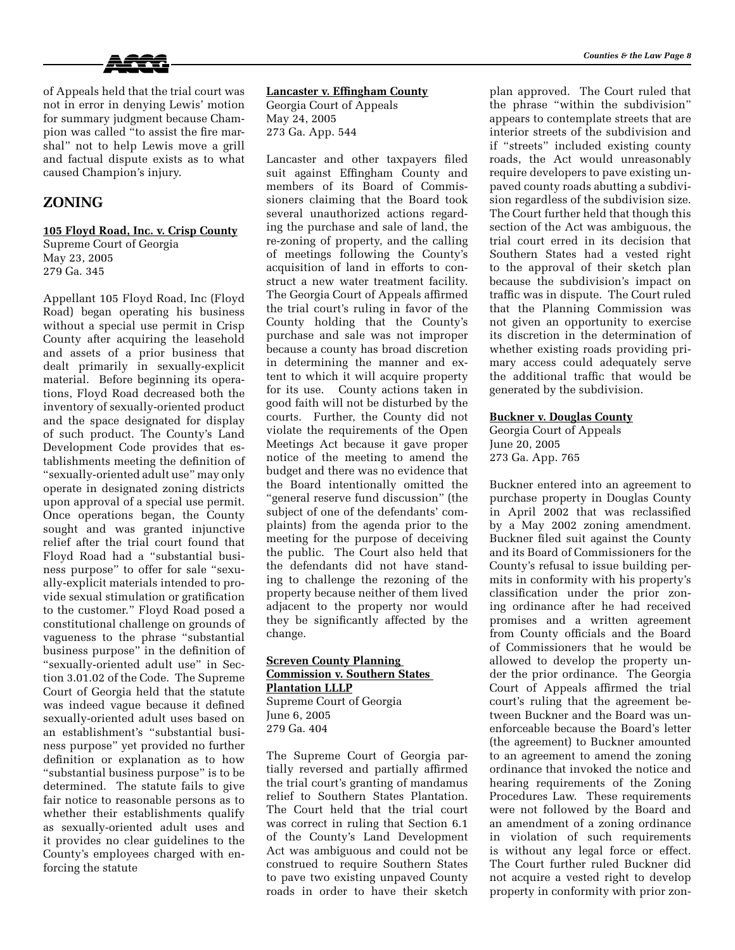

of Appeals held that the trial court was not in error in denying Lewis' motion for summary judgment because Champion was called "to assist the fire marshal" not to help Lewis move a grill and factual dispute exists as to what caused Champion's injury.

# **ZONING**

**105 Floyd Road, Inc. v. Crisp County** Supreme Court of Georgia May 23, 2005 279 Ga. 345

Appellant 105 Floyd Road, Inc (Floyd Road) began operating his business without a special use permit in Crisp County after acquiring the leasehold and assets of a prior business that dealt primarily in sexually-explicit material. Before beginning its operations, Floyd Road decreased both the inventory of sexually-oriented product and the space designated for display of such product. The County's Land Development Code provides that establishments meeting the definition of "sexually-oriented adult use" may only operate in designated zoning districts upon approval of a special use permit. Once operations began, the County sought and was granted injunctive relief after the trial court found that Floyd Road had a "substantial business purpose" to offer for sale "sexually-explicit materials intended to provide sexual stimulation or gratification to the customer." Floyd Road posed a constitutional challenge on grounds of vagueness to the phrase "substantial business purpose" in the definition of "sexually-oriented adult use" in Section 3.01.02 of the Code. The Supreme Court of Georgia held that the statute was indeed vague because it defined sexually-oriented adult uses based on an establishment's "substantial business purpose" yet provided no further definition or explanation as to how "substantial business purpose" is to be determined. The statute fails to give fair notice to reasonable persons as to whether their establishments qualify as sexually-oriented adult uses and it provides no clear guidelines to the County's employees charged with enforcing the statute

**Lancaster v. Effingham County**

Georgia Court of Appeals May 24, 2005 273 Ga. App. 544

Lancaster and other taxpayers filed suit against Effingham County and members of its Board of Commissioners claiming that the Board took several unauthorized actions regarding the purchase and sale of land, the re-zoning of property, and the calling of meetings following the County's acquisition of land in efforts to construct a new water treatment facility. The Georgia Court of Appeals affirmed the trial court's ruling in favor of the County holding that the County's purchase and sale was not improper because a county has broad discretion in determining the manner and extent to which it will acquire property for its use. County actions taken in good faith will not be disturbed by the courts. Further, the County did not violate the requirements of the Open Meetings Act because it gave proper notice of the meeting to amend the budget and there was no evidence that the Board intentionally omitted the "general reserve fund discussion" (the subject of one of the defendants' complaints) from the agenda prior to the meeting for the purpose of deceiving the public. The Court also held that the defendants did not have standing to challenge the rezoning of the property because neither of them lived adjacent to the property nor would they be significantly affected by the change.

## **Screven County Planning Commission v. Southern States Plantation LLLP** Supreme Court of Georgia

June 6, 2005 279 Ga. 404

The Supreme Court of Georgia partially reversed and partially affirmed the trial court's granting of mandamus relief to Southern States Plantation. The Court held that the trial court was correct in ruling that Section 6.1 of the County's Land Development Act was ambiguous and could not be construed to require Southern States to pave two existing unpaved County roads in order to have their sketch if "streets" included existing county roads, the Act would unreasonably require developers to pave existing unpaved county roads abutting a subdivision regardless of the subdivision size. The Court further held that though this section of the Act was ambiguous, the trial court erred in its decision that Southern States had a vested right to the approval of their sketch plan because the subdivision's impact on traffic was in dispute. The Court ruled that the Planning Commission was not given an opportunity to exercise its discretion in the determination of whether existing roads providing primary access could adequately serve the additional traffic that would be generated by the subdivision.

### **Buckner v. Douglas County**

Georgia Court of Appeals June 20, 2005 273 Ga. App. 765

Buckner entered into an agreement to purchase property in Douglas County in April 2002 that was reclassified by a May 2002 zoning amendment. Buckner filed suit against the County and its Board of Commissioners for the County's refusal to issue building permits in conformity with his property's classification under the prior zoning ordinance after he had received promises and a written agreement from County officials and the Board of Commissioners that he would be allowed to develop the property under the prior ordinance. The Georgia Court of Appeals affirmed the trial court's ruling that the agreement between Buckner and the Board was unenforceable because the Board's letter (the agreement) to Buckner amounted to an agreement to amend the zoning ordinance that invoked the notice and hearing requirements of the Zoning Procedures Law. These requirements were not followed by the Board and an amendment of a zoning ordinance in violation of such requirements is without any legal force or effect. The Court further ruled Buckner did not acquire a vested right to develop property in conformity with prior zon-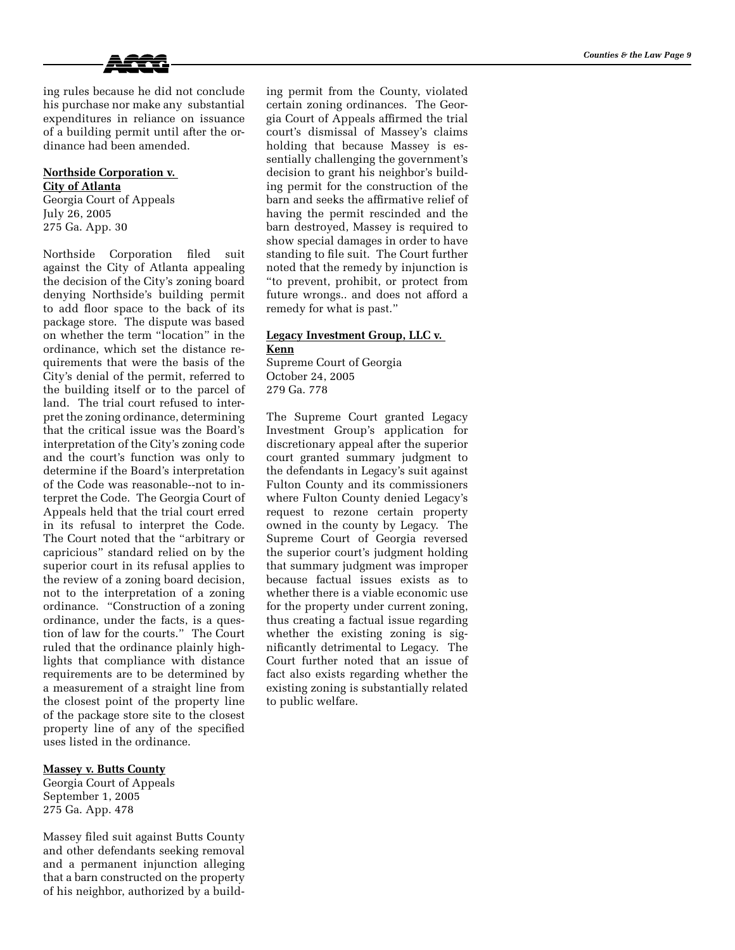

ing rules because he did not conclude his purchase nor make any substantial expenditures in reliance on issuance of a building permit until after the ordinance had been amended.

## **Northside Corporation v. City of Atlanta**

Georgia Court of Appeals July 26, 2005 275 Ga. App. 30

Northside Corporation filed suit against the City of Atlanta appealing the decision of the City's zoning board denying Northside's building permit to add floor space to the back of its package store. The dispute was based on whether the term "location" in the ordinance, which set the distance requirements that were the basis of the City's denial of the permit, referred to the building itself or to the parcel of land. The trial court refused to interpret the zoning ordinance, determining that the critical issue was the Board's interpretation of the City's zoning code and the court's function was only to determine if the Board's interpretation of the Code was reasonable--not to interpret the Code. The Georgia Court of Appeals held that the trial court erred in its refusal to interpret the Code. The Court noted that the "arbitrary or capricious" standard relied on by the superior court in its refusal applies to the review of a zoning board decision, not to the interpretation of a zoning ordinance. "Construction of a zoning ordinance, under the facts, is a question of law for the courts." The Court ruled that the ordinance plainly highlights that compliance with distance requirements are to be determined by a measurement of a straight line from the closest point of the property line of the package store site to the closest property line of any of the specified uses listed in the ordinance.

### **Massey v. Butts County**

Georgia Court of Appeals September 1, 2005 275 Ga. App. 478

Massey filed suit against Butts County and other defendants seeking removal and a permanent injunction alleging that a barn constructed on the property of his neighbor, authorized by a build-

ing permit from the County, violated certain zoning ordinances. The Georgia Court of Appeals affirmed the trial court's dismissal of Massey's claims holding that because Massey is essentially challenging the government's decision to grant his neighbor's building permit for the construction of the barn and seeks the affirmative relief of having the permit rescinded and the barn destroyed, Massey is required to show special damages in order to have standing to file suit. The Court further noted that the remedy by injunction is "to prevent, prohibit, or protect from future wrongs.. and does not afford a remedy for what is past."

### **Legacy Investment Group, LLC v. Kenn**

Supreme Court of Georgia October 24, 2005 279 Ga. 778

The Supreme Court granted Legacy Investment Group's application for discretionary appeal after the superior court granted summary judgment to the defendants in Legacy's suit against Fulton County and its commissioners where Fulton County denied Legacy's request to rezone certain property owned in the county by Legacy. The Supreme Court of Georgia reversed the superior court's judgment holding that summary judgment was improper because factual issues exists as to whether there is a viable economic use for the property under current zoning, thus creating a factual issue regarding whether the existing zoning is significantly detrimental to Legacy. The Court further noted that an issue of fact also exists regarding whether the existing zoning is substantially related to public welfare.